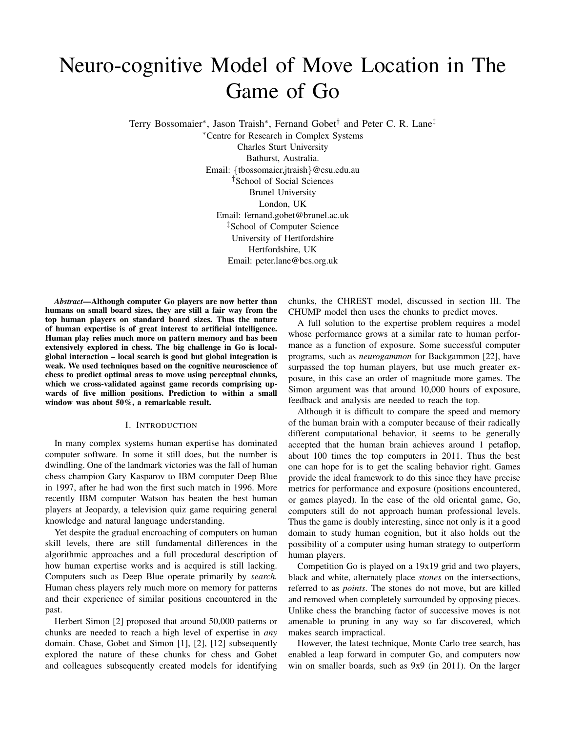# Neuro-cognitive Model of Move Location in The Game of Go

Terry Bossomaier\*, Jason Traish\*, Fernand Gobet<sup>†</sup> and Peter C. R. Lane<sup>‡</sup>

<sup>∗</sup>Centre for Research in Complex Systems Charles Sturt University Bathurst, Australia. Email: {tbossomaier,jtraish}@csu.edu.au †School of Social Sciences Brunel University London, UK Email: fernand.gobet@brunel.ac.uk ‡School of Computer Science University of Hertfordshire Hertfordshire, UK Email: peter.lane@bcs.org.uk

*Abstract*—Although computer Go players are now better than humans on small board sizes, they are still a fair way from the top human players on standard board sizes. Thus the nature of human expertise is of great interest to artificial intelligence. Human play relies much more on pattern memory and has been extensively explored in chess. The big challenge in Go is localglobal interaction – local search is good but global integration is weak. We used techniques based on the cognitive neuroscience of chess to predict optimal areas to move using perceptual chunks, which we cross-validated against game records comprising upwards of five million positions. Prediction to within a small window was about 50%, a remarkable result.

# I. INTRODUCTION

In many complex systems human expertise has dominated computer software. In some it still does, but the number is dwindling. One of the landmark victories was the fall of human chess champion Gary Kasparov to IBM computer Deep Blue in 1997, after he had won the first such match in 1996. More recently IBM computer Watson has beaten the best human players at Jeopardy, a television quiz game requiring general knowledge and natural language understanding.

Yet despite the gradual encroaching of computers on human skill levels, there are still fundamental differences in the algorithmic approaches and a full procedural description of how human expertise works and is acquired is still lacking. Computers such as Deep Blue operate primarily by *search.* Human chess players rely much more on memory for patterns and their experience of similar positions encountered in the past.

Herbert Simon [2] proposed that around 50,000 patterns or chunks are needed to reach a high level of expertise in *any* domain. Chase, Gobet and Simon [1], [2], [12] subsequently explored the nature of these chunks for chess and Gobet and colleagues subsequently created models for identifying chunks, the CHREST model, discussed in section III. The CHUMP model then uses the chunks to predict moves.

A full solution to the expertise problem requires a model whose performance grows at a similar rate to human performance as a function of exposure. Some successful computer programs, such as *neurogammon* for Backgammon [22], have surpassed the top human players, but use much greater exposure, in this case an order of magnitude more games. The Simon argument was that around 10,000 hours of exposure, feedback and analysis are needed to reach the top.

Although it is difficult to compare the speed and memory of the human brain with a computer because of their radically different computational behavior, it seems to be generally accepted that the human brain achieves around 1 petaflop, about 100 times the top computers in 2011. Thus the best one can hope for is to get the scaling behavior right. Games provide the ideal framework to do this since they have precise metrics for performance and exposure (positions encountered, or games played). In the case of the old oriental game, Go, computers still do not approach human professional levels. Thus the game is doubly interesting, since not only is it a good domain to study human cognition, but it also holds out the possibility of a computer using human strategy to outperform human players.

Competition Go is played on a 19x19 grid and two players, black and white, alternately place *stones* on the intersections, referred to as *points*. The stones do not move, but are killed and removed when completely surrounded by opposing pieces. Unlike chess the branching factor of successive moves is not amenable to pruning in any way so far discovered, which makes search impractical.

However, the latest technique, Monte Carlo tree search, has enabled a leap forward in computer Go, and computers now win on smaller boards, such as 9x9 (in 2011). On the larger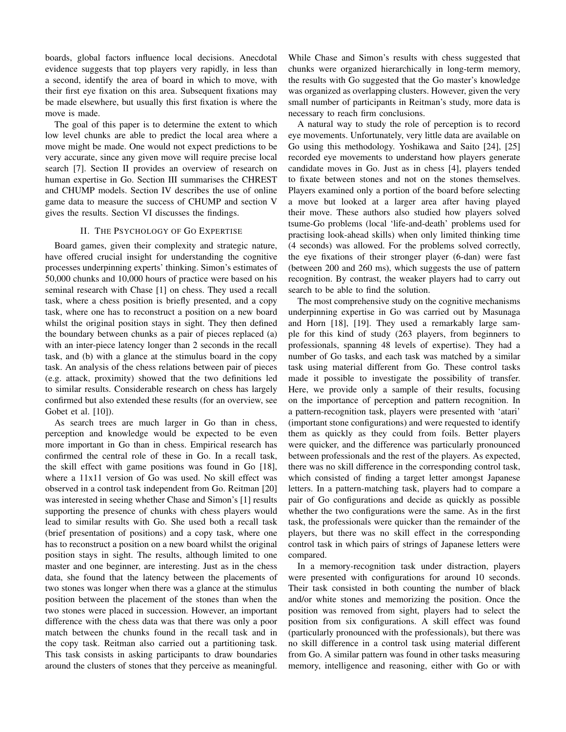boards, global factors influence local decisions. Anecdotal evidence suggests that top players very rapidly, in less than a second, identify the area of board in which to move, with their first eye fixation on this area. Subsequent fixations may be made elsewhere, but usually this first fixation is where the move is made.

The goal of this paper is to determine the extent to which low level chunks are able to predict the local area where a move might be made. One would not expect predictions to be very accurate, since any given move will require precise local search [7]. Section II provides an overview of research on human expertise in Go. Section III summarises the CHREST and CHUMP models. Section IV describes the use of online game data to measure the success of CHUMP and section V gives the results. Section VI discusses the findings.

#### II. THE PSYCHOLOGY OF GO EXPERTISE

Board games, given their complexity and strategic nature, have offered crucial insight for understanding the cognitive processes underpinning experts' thinking. Simon's estimates of 50,000 chunks and 10,000 hours of practice were based on his seminal research with Chase [1] on chess. They used a recall task, where a chess position is briefly presented, and a copy task, where one has to reconstruct a position on a new board whilst the original position stays in sight. They then defined the boundary between chunks as a pair of pieces replaced (a) with an inter-piece latency longer than 2 seconds in the recall task, and (b) with a glance at the stimulus board in the copy task. An analysis of the chess relations between pair of pieces (e.g. attack, proximity) showed that the two definitions led to similar results. Considerable research on chess has largely confirmed but also extended these results (for an overview, see Gobet et al. [10]).

As search trees are much larger in Go than in chess, perception and knowledge would be expected to be even more important in Go than in chess. Empirical research has confirmed the central role of these in Go. In a recall task, the skill effect with game positions was found in Go [18], where a 11x11 version of Go was used. No skill effect was observed in a control task independent from Go. Reitman [20] was interested in seeing whether Chase and Simon's [1] results supporting the presence of chunks with chess players would lead to similar results with Go. She used both a recall task (brief presentation of positions) and a copy task, where one has to reconstruct a position on a new board whilst the original position stays in sight. The results, although limited to one master and one beginner, are interesting. Just as in the chess data, she found that the latency between the placements of two stones was longer when there was a glance at the stimulus position between the placement of the stones than when the two stones were placed in succession. However, an important difference with the chess data was that there was only a poor match between the chunks found in the recall task and in the copy task. Reitman also carried out a partitioning task. This task consists in asking participants to draw boundaries around the clusters of stones that they perceive as meaningful.

While Chase and Simon's results with chess suggested that chunks were organized hierarchically in long-term memory, the results with Go suggested that the Go master's knowledge was organized as overlapping clusters. However, given the very small number of participants in Reitman's study, more data is necessary to reach firm conclusions.

A natural way to study the role of perception is to record eye movements. Unfortunately, very little data are available on Go using this methodology. Yoshikawa and Saito [24], [25] recorded eye movements to understand how players generate candidate moves in Go. Just as in chess [4], players tended to fixate between stones and not on the stones themselves. Players examined only a portion of the board before selecting a move but looked at a larger area after having played their move. These authors also studied how players solved tsume-Go problems (local 'life-and-death' problems used for practising look-ahead skills) when only limited thinking time (4 seconds) was allowed. For the problems solved correctly, the eye fixations of their stronger player (6-dan) were fast (between 200 and 260 ms), which suggests the use of pattern recognition. By contrast, the weaker players had to carry out search to be able to find the solution.

The most comprehensive study on the cognitive mechanisms underpinning expertise in Go was carried out by Masunaga and Horn [18], [19]. They used a remarkably large sample for this kind of study (263 players, from beginners to professionals, spanning 48 levels of expertise). They had a number of Go tasks, and each task was matched by a similar task using material different from Go. These control tasks made it possible to investigate the possibility of transfer. Here, we provide only a sample of their results, focusing on the importance of perception and pattern recognition. In a pattern-recognition task, players were presented with 'atari' (important stone configurations) and were requested to identify them as quickly as they could from foils. Better players were quicker, and the difference was particularly pronounced between professionals and the rest of the players. As expected, there was no skill difference in the corresponding control task, which consisted of finding a target letter amongst Japanese letters. In a pattern-matching task, players had to compare a pair of Go configurations and decide as quickly as possible whether the two configurations were the same. As in the first task, the professionals were quicker than the remainder of the players, but there was no skill effect in the corresponding control task in which pairs of strings of Japanese letters were compared.

In a memory-recognition task under distraction, players were presented with configurations for around 10 seconds. Their task consisted in both counting the number of black and/or white stones and memorizing the position. Once the position was removed from sight, players had to select the position from six configurations. A skill effect was found (particularly pronounced with the professionals), but there was no skill difference in a control task using material different from Go. A similar pattern was found in other tasks measuring memory, intelligence and reasoning, either with Go or with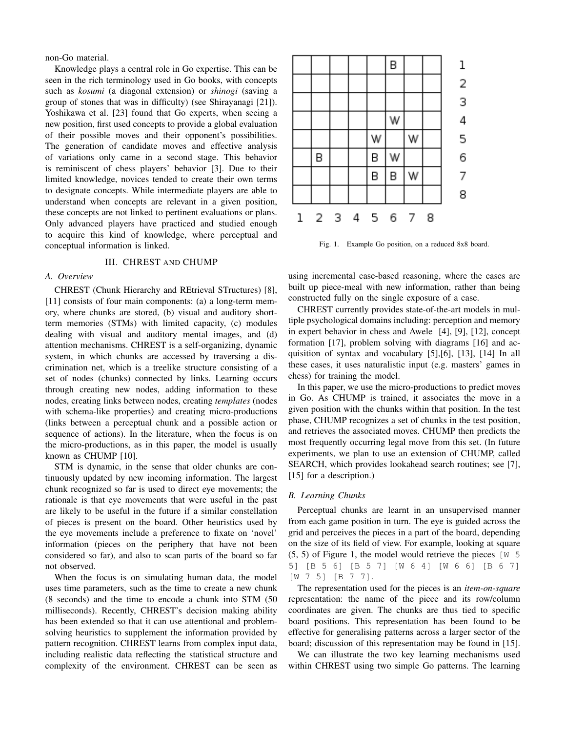non-Go material.

Knowledge plays a central role in Go expertise. This can be seen in the rich terminology used in Go books, with concepts such as *kosumi* (a diagonal extension) or *shinogi* (saving a group of stones that was in difficulty) (see Shirayanagi [21]). Yoshikawa et al. [23] found that Go experts, when seeing a new position, first used concepts to provide a global evaluation of their possible moves and their opponent's possibilities. The generation of candidate moves and effective analysis of variations only came in a second stage. This behavior is reminiscent of chess players' behavior [3]. Due to their limited knowledge, novices tended to create their own terms to designate concepts. While intermediate players are able to understand when concepts are relevant in a given position, these concepts are not linked to pertinent evaluations or plans. Only advanced players have practiced and studied enough to acquire this kind of knowledge, where perceptual and conceptual information is linked.

#### III. CHREST AND CHUMP

# *A. Overview*

CHREST (Chunk Hierarchy and REtrieval STructures) [8], [11] consists of four main components: (a) a long-term memory, where chunks are stored, (b) visual and auditory shortterm memories (STMs) with limited capacity, (c) modules dealing with visual and auditory mental images, and (d) attention mechanisms. CHREST is a self-organizing, dynamic system, in which chunks are accessed by traversing a discrimination net, which is a treelike structure consisting of a set of nodes (chunks) connected by links. Learning occurs through creating new nodes, adding information to these nodes, creating links between nodes, creating *templates* (nodes with schema-like properties) and creating micro-productions (links between a perceptual chunk and a possible action or sequence of actions). In the literature, when the focus is on the micro-productions, as in this paper, the model is usually known as CHUMP [10].

STM is dynamic, in the sense that older chunks are continuously updated by new incoming information. The largest chunk recognized so far is used to direct eye movements; the rationale is that eye movements that were useful in the past are likely to be useful in the future if a similar constellation of pieces is present on the board. Other heuristics used by the eye movements include a preference to fixate on 'novel' information (pieces on the periphery that have not been considered so far), and also to scan parts of the board so far not observed.

When the focus is on simulating human data, the model uses time parameters, such as the time to create a new chunk (8 seconds) and the time to encode a chunk into STM (50 milliseconds). Recently, CHREST's decision making ability has been extended so that it can use attentional and problemsolving heuristics to supplement the information provided by pattern recognition. CHREST learns from complex input data, including realistic data reflecting the statistical structure and complexity of the environment. CHREST can be seen as



Fig. 1. Example Go position, on a reduced 8x8 board.

using incremental case-based reasoning, where the cases are built up piece-meal with new information, rather than being constructed fully on the single exposure of a case.

CHREST currently provides state-of-the-art models in multiple psychological domains including: perception and memory in expert behavior in chess and Awele [4], [9], [12], concept formation [17], problem solving with diagrams [16] and acquisition of syntax and vocabulary [5],[6], [13], [14] In all these cases, it uses naturalistic input (e.g. masters' games in chess) for training the model.

In this paper, we use the micro-productions to predict moves in Go. As CHUMP is trained, it associates the move in a given position with the chunks within that position. In the test phase, CHUMP recognizes a set of chunks in the test position, and retrieves the associated moves. CHUMP then predicts the most frequently occurring legal move from this set. (In future experiments, we plan to use an extension of CHUMP, called SEARCH, which provides lookahead search routines; see [7], [15] for a description.)

# *B. Learning Chunks*

Perceptual chunks are learnt in an unsupervised manner from each game position in turn. The eye is guided across the grid and perceives the pieces in a part of the board, depending on the size of its field of view. For example, looking at square  $(5, 5)$  of Figure 1, the model would retrieve the pieces [W 5] 5] [B 5 6] [B 5 7] [W 6 4] [W 6 6] [B 6 7] [W 7 5] [B 7 7].

The representation used for the pieces is an *item-on-square* representation: the name of the piece and its row/column coordinates are given. The chunks are thus tied to specific board positions. This representation has been found to be effective for generalising patterns across a larger sector of the board; discussion of this representation may be found in [15].

We can illustrate the two key learning mechanisms used within CHREST using two simple Go patterns. The learning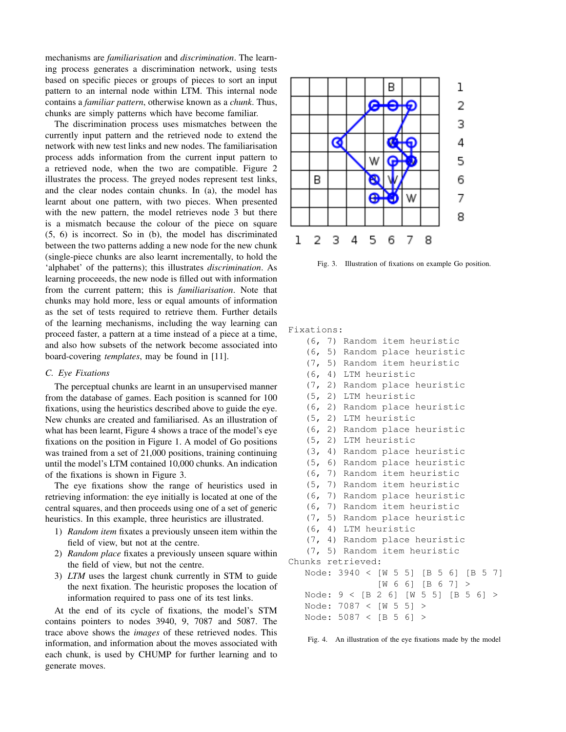mechanisms are *familiarisation* and *discrimination*. The learning process generates a discrimination network, using tests based on specific pieces or groups of pieces to sort an input pattern to an internal node within LTM. This internal node contains a *familiar pattern*, otherwise known as a *chunk*. Thus, chunks are simply patterns which have become familiar.

The discrimination process uses mismatches between the currently input pattern and the retrieved node to extend the network with new test links and new nodes. The familiarisation process adds information from the current input pattern to a retrieved node, when the two are compatible. Figure 2 illustrates the process. The greyed nodes represent test links, and the clear nodes contain chunks. In (a), the model has learnt about one pattern, with two pieces. When presented with the new pattern, the model retrieves node 3 but there is a mismatch because the colour of the piece on square (5, 6) is incorrect. So in (b), the model has discriminated between the two patterns adding a new node for the new chunk (single-piece chunks are also learnt incrementally, to hold the 'alphabet' of the patterns); this illustrates *discrimination*. As learning proceeeds, the new node is filled out with information from the current pattern; this is *familiarisation*. Note that chunks may hold more, less or equal amounts of information as the set of tests required to retrieve them. Further details of the learning mechanisms, including the way learning can proceed faster, a pattern at a time instead of a piece at a time, and also how subsets of the network become associated into board-covering *templates*, may be found in [11].

## *C. Eye Fixations*

The perceptual chunks are learnt in an unsupervised manner from the database of games. Each position is scanned for 100 fixations, using the heuristics described above to guide the eye. New chunks are created and familiarised. As an illustration of what has been learnt, Figure 4 shows a trace of the model's eye fixations on the position in Figure 1. A model of Go positions was trained from a set of 21,000 positions, training continuing until the model's LTM contained 10,000 chunks. An indication of the fixations is shown in Figure 3.

The eye fixations show the range of heuristics used in retrieving information: the eye initially is located at one of the central squares, and then proceeds using one of a set of generic heuristics. In this example, three heuristics are illustrated.

- 1) *Random item* fixates a previously unseen item within the field of view, but not at the centre.
- 2) *Random place* fixates a previously unseen square within the field of view, but not the centre.
- 3) *LTM* uses the largest chunk currently in STM to guide the next fixation. The heuristic proposes the location of information required to pass one of its test links.

At the end of its cycle of fixations, the model's STM contains pointers to nodes 3940, 9, 7087 and 5087. The trace above shows the *images* of these retrieved nodes. This information, and information about the moves associated with each chunk, is used by CHUMP for further learning and to generate moves.



Fig. 3. Illustration of fixations on example Go position.

## Fixations:

- (6, 7) Random item heuristic
- (6, 5) Random place heuristic
- (7, 5) Random item heuristic
- (6, 4) LTM heuristic
- (7, 2) Random place heuristic
- (5, 2) LTM heuristic
- (6, 2) Random place heuristic
- (5, 2) LTM heuristic
- (6, 2) Random place heuristic
- (5, 2) LTM heuristic
- (3, 4) Random place heuristic
- (5, 6) Random place heuristic
- (6, 7) Random item heuristic
- (5, 7) Random item heuristic
- (6, 7) Random place heuristic
- (6, 7) Random item heuristic
- (7, 5) Random place heuristic
- (6, 4) LTM heuristic

```
(7, 4) Random place heuristic
```

```
(7, 5) Random item heuristic
```

```
Chunks retrieved:
Node: 3940 < [W 5 5] [B 5 6] [B 5 7]
```
[W 6 6] [B 6 7] > Node: 9 < [B 2 6] [W 5 5] [B 5 6] > Node: 7087 < [W 5 5] > Node: 5087 < [B 5 6] >

Fig. 4. An illustration of the eye fixations made by the model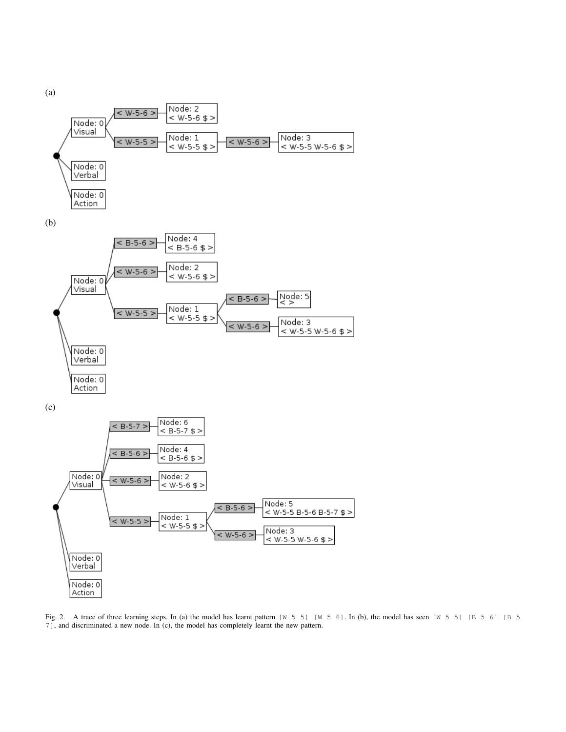

(b)



(c)



Fig. 2. A trace of three learning steps. In (a) the model has learnt pattern [W 5 5] [W 5 6]. In (b), the model has seen [W 5 5] [B 5 6] [B 5 7], and discriminated a new node. In (c), the model has completely learnt the new pattern.

(a)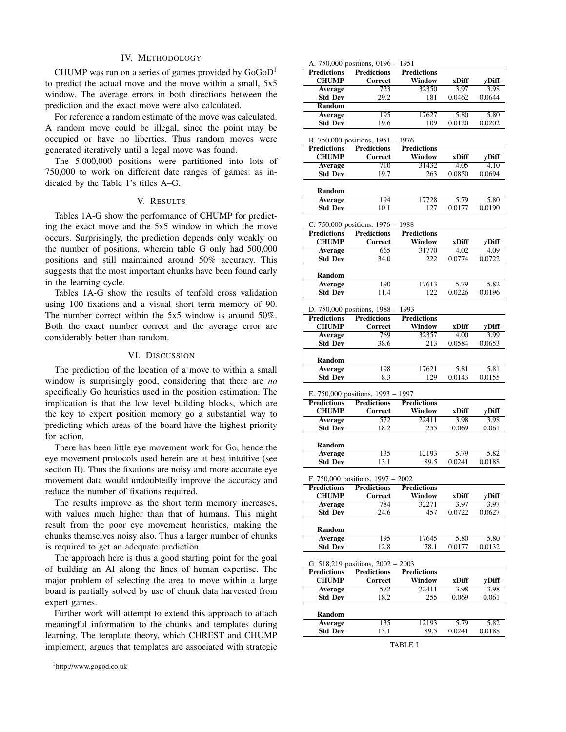## IV. METHODOLOGY

CHUMP was run on a series of games provided by  $GoGoD<sup>1</sup>$ to predict the actual move and the move within a small, 5x5 window. The average errors in both directions between the prediction and the exact move were also calculated.

For reference a random estimate of the move was calculated. A random move could be illegal, since the point may be occupied or have no liberties. Thus random moves were generated iteratively until a legal move was found.

The 5,000,000 positions were partitioned into lots of 750,000 to work on different date ranges of games: as indicated by the Table 1's titles A–G.

## V. RESULTS

Tables 1A-G show the performance of CHUMP for predicting the exact move and the 5x5 window in which the move occurs. Surprisingly, the prediction depends only weakly on the number of positions, wherein table G only had 500,000 positions and still maintained around 50% accuracy. This suggests that the most important chunks have been found early in the learning cycle.

Tables 1A-G show the results of tenfold cross validation using 100 fixations and a visual short term memory of 90. The number correct within the 5x5 window is around 50%. Both the exact number correct and the average error are considerably better than random.

# VI. DISCUSSION

The prediction of the location of a move to within a small window is surprisingly good, considering that there are *no* specifically Go heuristics used in the position estimation. The implication is that the low level building blocks, which are the key to expert position memory go a substantial way to predicting which areas of the board have the highest priority for action.

There has been little eye movement work for Go, hence the eye movement protocols used herein are at best intuitive (see section II). Thus the fixations are noisy and more accurate eye movement data would undoubtedly improve the accuracy and reduce the number of fixations required.

The results improve as the short term memory increases, with values much higher than that of humans. This might result from the poor eye movement heuristics, making the chunks themselves noisy also. Thus a larger number of chunks is required to get an adequate prediction.

The approach here is thus a good starting point for the goal of building an AI along the lines of human expertise. The major problem of selecting the area to move within a large board is partially solved by use of chunk data harvested from expert games.

Further work will attempt to extend this approach to attach meaningful information to the chunks and templates during learning. The template theory, which CHREST and CHUMP implement, argues that templates are associated with strategic

#### A. 750,000 positions, 0196 – 1951

| <b>Predictions</b> | <b>Predictions</b> | <b>Predictions</b> |        |        |
|--------------------|--------------------|--------------------|--------|--------|
| <b>CHUMP</b>       | Correct            | Window             | xDiff  | vDiff  |
| Average            | 723                | 32350              | 3.97   | 3.98   |
| <b>Std Dev</b>     | 29.2               | 181                | 0.0462 | 0.0644 |
| <b>Random</b>      |                    |                    |        |        |
| Average            | 195                | 17627              | 5.80   | 5.80   |
| <b>Std Dev</b>     | 19.6               | 109                | 0.0120 | 0.0202 |

|  |  | B. $750,000$ positions, $1951 - 1976$ |  |  |  |
|--|--|---------------------------------------|--|--|--|
|--|--|---------------------------------------|--|--|--|

| <b>Predictions</b><br><b>CHUMP</b> | <b>Predictions</b><br>Correct | <b>Predictions</b><br>Window | xDiff  | vDiff  |
|------------------------------------|-------------------------------|------------------------------|--------|--------|
| Average                            | 710                           | 31432                        | 4.05   | 4.10   |
| <b>Std Dev</b>                     | 19.7                          | 263                          | 0.0850 | 0.0694 |
|                                    |                               |                              |        |        |
| <b>Random</b>                      |                               |                              |        |        |
| Average                            | 194                           | 17728                        | 5.79   | 5.80   |
| <b>Std Dev</b>                     | 10.1                          | 127                          | 0.0177 | 0.0190 |

C. 750,000 positions, 1976 – 1988

| <b>Predictions</b> | <b>Predictions</b> | <b>Predictions</b> |        |        |
|--------------------|--------------------|--------------------|--------|--------|
| <b>CHUMP</b>       | Correct            | Window             | xDiff  | vDiff  |
| <b>Average</b>     | 665                | 31770              | 4.02   | 4.09   |
| <b>Std Dev</b>     | 34.0               | 222                | 0.0774 | 0.0722 |
|                    |                    |                    |        |        |
| <b>Random</b>      |                    |                    |        |        |
| Average            | 190                | 17613              | 5.79   | 5.82   |
| <b>Std Dev</b>     | 11.4               | 122                | 0.0226 | 0.0196 |

| <b>Predictions</b> | <b>Predictions</b> | <b>Predictions</b> |        |        |
|--------------------|--------------------|--------------------|--------|--------|
| <b>CHUMP</b>       | Correct            | Window             | xDiff  | vDiff  |
| Average            | 769                | 32357              | 4.00   | 3.99   |
| <b>Std Dev</b>     | 38.6               | 213                | 0.0584 | 0.0653 |
|                    |                    |                    |        |        |
| <b>Random</b>      |                    |                    |        |        |
| <b>Average</b>     | 198                | 17621              | 5.81   | 5.81   |
| <b>Std Dev</b>     | 8.3                | 129                | 0.0143 | 0.0155 |

```
E. 750,000 positions, 1993 – 1997
```

| <b>Predictions</b> | <b>Predictions</b> | <b>Predictions</b> |        |        |
|--------------------|--------------------|--------------------|--------|--------|
| <b>CHUMP</b>       | Correct            | Window             | xDiff  | vDiff  |
| <b>Average</b>     | 572                | 22411              | 3.98   | 3.98   |
| <b>Std Dev</b>     | 18.2               | 255                | 0.069  | 0.061  |
|                    |                    |                    |        |        |
| Random             |                    |                    |        |        |
| <b>Average</b>     | 135                | 12193              | 5.79   | 5.82   |
| <b>Std Dev</b>     | 13.1               | 89.5               | 0.0241 | 0.0188 |

| F. $750,000$ positions, $1997 - 2002$ |  |  |
|---------------------------------------|--|--|
|---------------------------------------|--|--|

| <b>Predictions</b><br><b>CHUMP</b> | <b>Predictions</b><br>Correct | <b>Predictions</b><br>Window | xDiff  | vDiff  |
|------------------------------------|-------------------------------|------------------------------|--------|--------|
| Average                            | 784                           | 32271                        | 3.97   | 3.97   |
| <b>Std Dev</b>                     | 24.6                          | 457                          | 0.0722 | 0.0627 |
| <b>Random</b>                      |                               |                              |        |        |
| Average                            | 195                           | 17645                        | 5.80   | 5.80   |
| <b>Std Dev</b>                     | 12.8                          | 78.1                         | 0.0177 | 0.0132 |

G. 518,219 positions, 2002 – 2003

| <b>Predictions</b> | <b>Predictions</b> | <b>Predictions</b> |        |        |
|--------------------|--------------------|--------------------|--------|--------|
| <b>CHUMP</b>       | Correct            | Window             | xDiff  | vDiff  |
| Average            | 572                | 22411              | 3.98   | 3.98   |
| <b>Std Dev</b>     | 18.2               | 255                | 0.069  | 0.061  |
|                    |                    |                    |        |        |
| Random             |                    |                    |        |        |
| Average            | 135                | 12193              | 5.79   | 5.82   |
| <b>Std Dev</b>     | 13.1               | 89.5               | 0.0241 | 0.0188 |